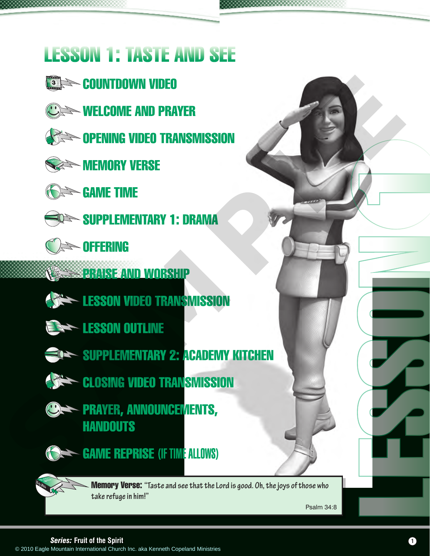## LESSON 1: TASTE AND SEE

- **SING COUNTDOWN VIDEO**
- **WELCOME AND PRAYER**
- **Example 12 Deciminism** opening video transmission



**MEMORY VERSE** 



**GAME TIME** 



- SUPPLEMENTARY 1: DRAMA
- **SING**



- **PRAISE AND WORSHIP** 
	- **LESSON VIDEO TRANSMISSION**
- **ESSON OUTLINE** 
	- SUPPLEMENTARY 2: ACADEMY KITCHEN
- **CLOSING VIDEO TRANSMISSION**
- **CORRETAINGLISH PRAYER, ANNOUNCEMENTS, HANDOUTS** © 2010 EAGLE MOUNTAIN ISLAMA<br>
SERVER MOUNTAIN ISLAMA<br>
SERVER MOUNTAIN ISLAMA<br>
SERVER MOUNTAIN ISLAMA<br>
COPELANT TIME<br>
SERVER AND WORSHIP<br>
COPELANT MINISTRIES ON<br>
ERSON OUTLINE<br>
COPERATION OUTLINE<br>
COPERATION OUTLINE<br>
COPER



GAME REPRISE (IF TIME ALLOWS)

Memory Verse: **"Taste and see that the Lord is good. Oh, the joys of those who take refuge in him!"** 

Psalm 34:8



**Series: Fruit of the Spirit Contract of the Spirit Contract of the Spirit Contract of the Spirit Contract of the Spirit Contract of the Spirit Contract of the Spirit Contract of the Spirit Contract of the Spirit Contract** 

LESSON 1

CADEM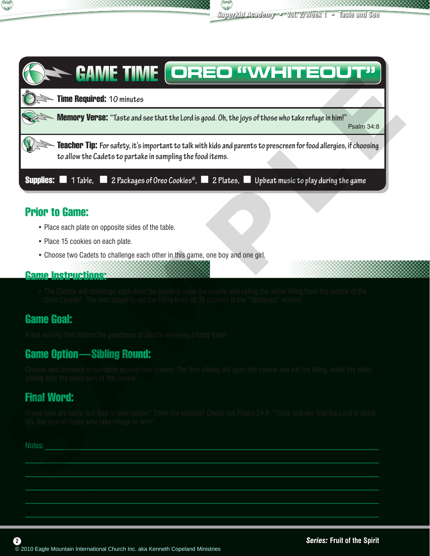



## Prior to Game:

- Place each plate on opposite sides of the table.
- Place 15 cookies on each plate.
- Choose two Cadets to challenge each other in this game, one boy and one girl.

## Game Instructions:

• The Cadets will challenge each other by twisting open the cookie and eating the white filling from the middle of the Oreo Cookie®. The first player to eat the filling from all 15 cookies is the "Whiteout" winner!

## Game Goal:

A fun activity that relates the goodness of God to enjoying a tasty treat!

## Game Option—Sibling Round:

Choose two brothers to compete against two sisters. The first sibling will open the cookie and eat the filling, while the other sibling eats the outer part of the cookie.

## Final Word:

Oreos sure are tasty, but God is even tastier! Think I'm kidding? Check out Psalm 34:8: "Taste and see that the Lord is good. Oh, the joys of those who take refuge in him!"

 $\mathcal{L}_\mathcal{L} = \mathcal{L}_\mathcal{L} = \mathcal{L}_\mathcal{L} = \mathcal{L}_\mathcal{L} = \mathcal{L}_\mathcal{L} = \mathcal{L}_\mathcal{L} = \mathcal{L}_\mathcal{L} = \mathcal{L}_\mathcal{L} = \mathcal{L}_\mathcal{L} = \mathcal{L}_\mathcal{L} = \mathcal{L}_\mathcal{L} = \mathcal{L}_\mathcal{L} = \mathcal{L}_\mathcal{L} = \mathcal{L}_\mathcal{L} = \mathcal{L}_\mathcal{L} = \mathcal{L}_\mathcal{L} = \mathcal{L}_\mathcal{L}$  $\mathcal{L}_\mathcal{L} = \mathcal{L}_\mathcal{L} = \mathcal{L}_\mathcal{L} = \mathcal{L}_\mathcal{L} = \mathcal{L}_\mathcal{L} = \mathcal{L}_\mathcal{L} = \mathcal{L}_\mathcal{L} = \mathcal{L}_\mathcal{L} = \mathcal{L}_\mathcal{L} = \mathcal{L}_\mathcal{L} = \mathcal{L}_\mathcal{L} = \mathcal{L}_\mathcal{L} = \mathcal{L}_\mathcal{L} = \mathcal{L}_\mathcal{L} = \mathcal{L}_\mathcal{L} = \mathcal{L}_\mathcal{L} = \mathcal{L}_\mathcal{L}$ \_\_\_\_\_\_\_\_\_\_\_\_\_\_\_\_\_\_\_\_\_\_\_\_\_\_\_\_\_\_\_\_\_\_\_\_\_\_\_\_\_\_\_\_\_\_\_\_\_\_\_\_\_\_\_\_\_\_\_\_\_\_\_\_\_\_\_\_\_\_\_\_\_\_\_\_\_\_\_\_\_\_\_\_\_\_\_\_\_\_\_\_\_\_\_\_  $\mathcal{L}_\mathcal{L} = \mathcal{L}_\mathcal{L} = \mathcal{L}_\mathcal{L} = \mathcal{L}_\mathcal{L} = \mathcal{L}_\mathcal{L} = \mathcal{L}_\mathcal{L} = \mathcal{L}_\mathcal{L} = \mathcal{L}_\mathcal{L} = \mathcal{L}_\mathcal{L} = \mathcal{L}_\mathcal{L} = \mathcal{L}_\mathcal{L} = \mathcal{L}_\mathcal{L} = \mathcal{L}_\mathcal{L} = \mathcal{L}_\mathcal{L} = \mathcal{L}_\mathcal{L} = \mathcal{L}_\mathcal{L} = \mathcal{L}_\mathcal{L}$  $\mathcal{L}_\text{max} = \mathcal{L}_\text{max} = \mathcal{L}_\text{max} = \mathcal{L}_\text{max} = \mathcal{L}_\text{max} = \mathcal{L}_\text{max} = \mathcal{L}_\text{max} = \mathcal{L}_\text{max} = \mathcal{L}_\text{max} = \mathcal{L}_\text{max} = \mathcal{L}_\text{max} = \mathcal{L}_\text{max} = \mathcal{L}_\text{max} = \mathcal{L}_\text{max} = \mathcal{L}_\text{max} = \mathcal{L}_\text{max} = \mathcal{L}_\text{max} = \mathcal{L}_\text{max} = \mathcal{$ 

Notes: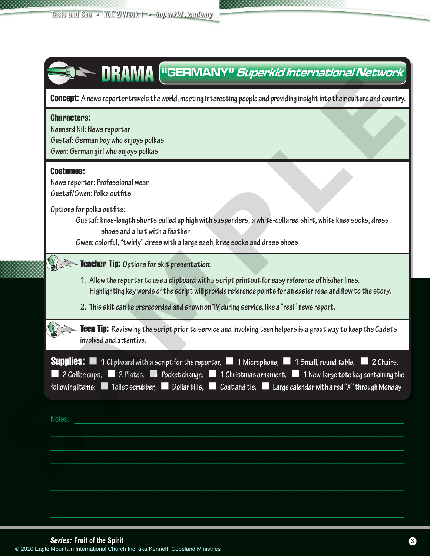| <b>Characters:</b> |                                                                                                                                                                                                                                                                                |
|--------------------|--------------------------------------------------------------------------------------------------------------------------------------------------------------------------------------------------------------------------------------------------------------------------------|
|                    | Nennerd Nil: News reporter                                                                                                                                                                                                                                                     |
|                    | Gustaf: German boy who enjoys polkas<br>Gwen: German girl who enjoys polkas                                                                                                                                                                                                    |
|                    |                                                                                                                                                                                                                                                                                |
| <b>Costumes:</b>   | News reporter: Professional wear                                                                                                                                                                                                                                               |
|                    | Gustaf/Gwen: Polka outfits                                                                                                                                                                                                                                                     |
|                    | Options for polka outfits:                                                                                                                                                                                                                                                     |
|                    | Gustaf: knee-length shorts pulled up high with suspenders, a white-collared shirt, white knee socks, dress<br>shoes and a hat with a feather                                                                                                                                   |
|                    | Gwen: colorful, "twirly" dress with a large sash, knee socks and dress shoes                                                                                                                                                                                                   |
|                    |                                                                                                                                                                                                                                                                                |
|                    | Teacher Tip: Options for skit presentation:                                                                                                                                                                                                                                    |
|                    | 1. Allow the reporter to use a clipboard with a script printout for easy reference of his/her lines.<br>Highlighting key words of the script will provide reference points for an easier read and flow to the story.                                                           |
|                    | 2. This skit can be prerecorded and shown on TV during service, like a "real" news report.                                                                                                                                                                                     |
|                    |                                                                                                                                                                                                                                                                                |
|                    | <b>Teen Tip:</b> Reviewing the script prior to service and involving teen helpers is a great way to keep the Cadets<br>involved and attentive.                                                                                                                                 |
|                    |                                                                                                                                                                                                                                                                                |
|                    | <b>Supplies:</b> $\blacksquare$ 1 Clipboard with a script for the reporter, $\blacksquare$ 1 Microphone, $\blacksquare$ 1 Small, round table, $\blacksquare$ 2 Chairs,<br>2 Coffee cups, 2 Plates, 2 Pocket change, 1 Christmas ornament, 1 New, large tote bag containing the |
|                    | following items: $\blacksquare$ Toilet scrubber, $\blacksquare$ Dollar bills, $\blacksquare$ Coat and tie, $\blacksquare$ Large calendar with a red "X" through Monday                                                                                                         |
|                    |                                                                                                                                                                                                                                                                                |
| Notes:             |                                                                                                                                                                                                                                                                                |
|                    |                                                                                                                                                                                                                                                                                |
|                    |                                                                                                                                                                                                                                                                                |
|                    |                                                                                                                                                                                                                                                                                |
|                    |                                                                                                                                                                                                                                                                                |
|                    |                                                                                                                                                                                                                                                                                |

**Series: Fruit of the Spirit**<br>
© 2010 Eagle Mountain International Church Inc. aka Kenneth Copeland Ministries<br> **3** 

E

ACADEM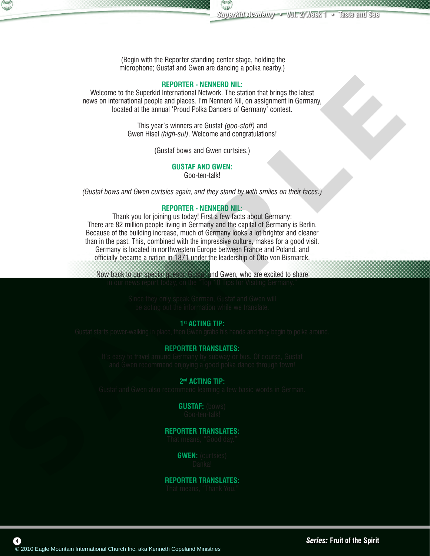

 (Begin with the Reporter standing center stage, holding the microphone; Gustaf and Gwen are dancing a polka nearby.)

#### **REPORTER - NENNERD NIL:**

Welcome to the Superkid International Network. The station that brings the latest news on international people and places. I'm Nennerd Nil, on assignment in Germany, located at the annual 'Proud Polka Dancers of Germany' contest.

> This year's winners are Gustaf *(goo-stoff)* and Gwen Hisel *(high-sul)*. Welcome and congratulations!

> > (Gustaf bows and Gwen curtsies.)

#### **GUSTAF AND GWEN:**

Goo-ten-talk!

*(Gustaf bows and Gwen curtsies again, and they stand by with smiles on their faces.)*

#### **REPORTER - NENNERD NIL:**

Thank you for joining us today! First a few facts about Germany: There are 82 million people living in Germany and the capital of Germany is Berlin. Because of the building increase, much of Germany looks a lot brighter and cleaner than in the past. This, combined with the impressive culture, makes for a good visit. Germany is located in northwestern Europe between France and Poland, and officially became a nation in 1871 under the leadership of Otto von Bismarck. Webcome is the Sampabilite - Register of the Mountain International Church International Church International Church International Church International Church International Church International Church International Church

Now back to our special guests, Gustaf and Gwen, who are excited to share in our news report today, on the "Top 10 Tips for Visiting Germany."

> Since they only speak German, Gustaf and Gwen will be acting out the information while we translate.

#### **1st ACTING TIP:**

Gustaf starts power-walking in place, then Gwen grabs his hands and they begin to polka around.

#### **REPORTER TRANSLATES:**

It's easy to travel around Germany by subway or bus. Of course, Gustaf and Gwen recommend enjoying a good polka dance through town!

#### **2nd ACTING TIP:**

Gustaf and Gwen also recommend learning a few basic words in German.

**GUSTAF:** (bows) Goo-ten-talk!

#### **REPORTER TRANSLATES:**

That means, "Good day."

**GWEN:** (curtsies) Danka!

#### **REPORTER TRANSLATES:** That means, "Thank You."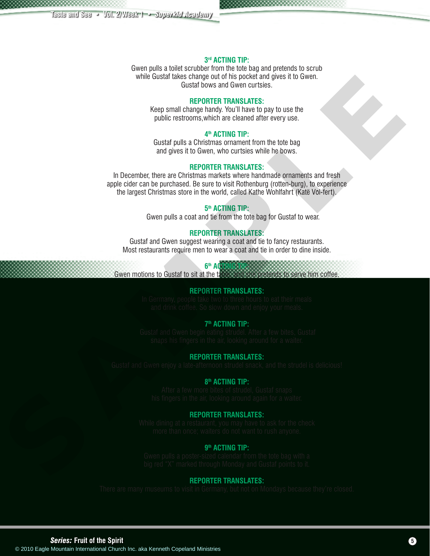#### **3rd ACTING TIP:**

Gwen pulls a toilet scrubber from the tote bag and pretends to scrub while Gustaf takes change out of his pocket and gives it to Gwen. Gustaf bows and Gwen curtsies.

#### **REPORTER TRANSLATES:**

Keep small change handy. You'll have to pay to use the public restrooms,which are cleaned after every use.

#### **4th ACTING TIP:**

Gustaf pulls a Christmas ornament from the tote bag and gives it to Gwen, who curtsies while he bows.

#### **REPORTER TRANSLATES:**

In December, there are Christmas markets where handmade ornaments and fresh apple cider can be purchased. Be sure to visit Rothenburg (rotten-burg), to experience the largest Christmas store in the world, called Kathe Wohlfahrt (Katë Vol-fert). Count of experiment the main and the same of the same of the same of the same of the same of the same of the same of the same of the same of the same of the same of the same of the same of the same of the same of the same

#### **5th ACTING TIP:**

Gwen pulls a coat and tie from the tote bag for Gustaf to wear.

#### **REPORTER TRANSLATES:**

Gustaf and Gwen suggest wearing a coat and tie to fancy restaurants. Most restaurants require men to wear a coat and tie in order to dine inside.

#### **6th ACTING TIP:**

Gwen motions to Gustaf to sit at the table, and she pretends to serve him coffee.

#### **REPORTER TRANSLATES:**

In Germany, people take two to three hours to eat their meals and drink coffee. So slow down and enjoy your meals.

#### **7th ACTING TIP:**

 Gustaf and Gwen begin eating strudel. After a few bites, Gustaf snaps his fingers in the air, looking around for a waiter.

#### **REPORTER TRANSLATES:**

Gustaf and Gwen enjoy a late-afternoon strudel snack, and the strudel is delicious!

#### **8th ACTING TIP:**

After a few more bites of strudel, Gustaf snaps his fingers in the air, looking around again for a waiter.

#### **REPORTER TRANSLATES:**

While dining at a restaurant, you may have to ask for the check more than once; waiters do not want to rush anyone.

#### **9th ACTING TIP:**

Gwen pulls a poster-sized calendar from the tote bag with a big red "X" marked through Monday and Gustaf points to it.

#### **REPORTER TRANSLATES:**

There are many museums to visit in Germany, but not on Mondays because they're closed.

*Series:* **Fruit of the Spirit 5**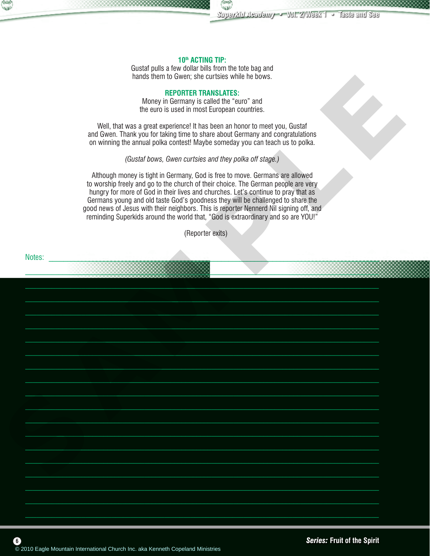

#### **10th ACTING TIP:**

Gustaf pulls a few dollar bills from the tote bag and hands them to Gwen; she curtsies while he bows.

#### **REPORTER TRANSLATES:**

Money in Germany is called the "euro" and the euro is used in most European countries.

Well, that was a great experience! It has been an honor to meet you, Gustaf and Gwen. Thank you for taking time to share about Germany and congratulations on winning the annual polka contest! Maybe someday you can teach us to polka.

*(Gustaf bows, Gwen curtsies and they polka off stage.)*

Although money is tight in Germany, God is free to move. Germans are allowed to worship freely and go to the church of their choice. The German people are very hungry for more of God in their lives and churches. Let's continue to pray that as Germans young and old taste God's goodness they will be challenged to share the good news of Jesus with their neighbors. This is reporter Nennerd Nil signing off, and reminding Superkids around the world that, "God is extraordinary and so are YOU!"

(Reporter exits)

Notes: \_\_\_\_\_\_\_\_\_\_\_\_\_\_\_\_\_\_\_\_\_\_\_\_\_\_\_\_\_\_\_\_\_\_\_\_\_\_\_\_\_\_\_\_\_\_\_\_\_\_\_\_\_\_\_\_\_\_\_\_\_\_\_\_\_\_\_\_\_\_\_\_\_\_\_\_\_\_\_\_\_\_\_\_\_\_\_\_\_\_  $\mathcal{L}_\mathcal{L} = \mathcal{L}_\mathcal{L} = \mathcal{L}_\mathcal{L} = \mathcal{L}_\mathcal{L} = \mathcal{L}_\mathcal{L} = \mathcal{L}_\mathcal{L} = \mathcal{L}_\mathcal{L} = \mathcal{L}_\mathcal{L} = \mathcal{L}_\mathcal{L} = \mathcal{L}_\mathcal{L} = \mathcal{L}_\mathcal{L} = \mathcal{L}_\mathcal{L} = \mathcal{L}_\mathcal{L} = \mathcal{L}_\mathcal{L} = \mathcal{L}_\mathcal{L} = \mathcal{L}_\mathcal{L} = \mathcal{L}_\mathcal{L}$  $\mathcal{L}_\mathcal{L} = \mathcal{L}_\mathcal{L} = \mathcal{L}_\mathcal{L} = \mathcal{L}_\mathcal{L} = \mathcal{L}_\mathcal{L} = \mathcal{L}_\mathcal{L} = \mathcal{L}_\mathcal{L} = \mathcal{L}_\mathcal{L} = \mathcal{L}_\mathcal{L} = \mathcal{L}_\mathcal{L} = \mathcal{L}_\mathcal{L} = \mathcal{L}_\mathcal{L} = \mathcal{L}_\mathcal{L} = \mathcal{L}_\mathcal{L} = \mathcal{L}_\mathcal{L} = \mathcal{L}_\mathcal{L} = \mathcal{L}_\mathcal{L}$  $\mathcal{L}_\mathcal{L} = \mathcal{L}_\mathcal{L} = \mathcal{L}_\mathcal{L} = \mathcal{L}_\mathcal{L} = \mathcal{L}_\mathcal{L} = \mathcal{L}_\mathcal{L} = \mathcal{L}_\mathcal{L} = \mathcal{L}_\mathcal{L} = \mathcal{L}_\mathcal{L} = \mathcal{L}_\mathcal{L} = \mathcal{L}_\mathcal{L} = \mathcal{L}_\mathcal{L} = \mathcal{L}_\mathcal{L} = \mathcal{L}_\mathcal{L} = \mathcal{L}_\mathcal{L} = \mathcal{L}_\mathcal{L} = \mathcal{L}_\mathcal{L}$ \_\_\_\_\_\_\_\_\_\_\_\_\_\_\_\_\_\_\_\_\_\_\_\_\_\_\_\_\_\_\_\_\_\_\_\_\_\_\_\_\_\_\_\_\_\_\_\_\_\_\_\_\_\_\_\_\_\_\_\_\_\_\_\_\_\_\_\_\_\_\_\_\_\_\_\_\_\_\_\_\_\_\_\_\_\_\_\_\_\_\_\_\_\_  $\_$  $\Box$  $\mathcal{L}_\mathcal{L} = \mathcal{L}_\mathcal{L} = \mathcal{L}_\mathcal{L} = \mathcal{L}_\mathcal{L} = \mathcal{L}_\mathcal{L} = \mathcal{L}_\mathcal{L} = \mathcal{L}_\mathcal{L} = \mathcal{L}_\mathcal{L} = \mathcal{L}_\mathcal{L} = \mathcal{L}_\mathcal{L} = \mathcal{L}_\mathcal{L} = \mathcal{L}_\mathcal{L} = \mathcal{L}_\mathcal{L} = \mathcal{L}_\mathcal{L} = \mathcal{L}_\mathcal{L} = \mathcal{L}_\mathcal{L} = \mathcal{L}_\mathcal{L}$  $\mathcal{L}_\mathcal{L} = \mathcal{L}_\mathcal{L} = \mathcal{L}_\mathcal{L} = \mathcal{L}_\mathcal{L} = \mathcal{L}_\mathcal{L} = \mathcal{L}_\mathcal{L} = \mathcal{L}_\mathcal{L} = \mathcal{L}_\mathcal{L} = \mathcal{L}_\mathcal{L} = \mathcal{L}_\mathcal{L} = \mathcal{L}_\mathcal{L} = \mathcal{L}_\mathcal{L} = \mathcal{L}_\mathcal{L} = \mathcal{L}_\mathcal{L} = \mathcal{L}_\mathcal{L} = \mathcal{L}_\mathcal{L} = \mathcal{L}_\mathcal{L}$  $\mathcal{L}_\mathcal{L} = \mathcal{L}_\mathcal{L} = \mathcal{L}_\mathcal{L} = \mathcal{L}_\mathcal{L} = \mathcal{L}_\mathcal{L} = \mathcal{L}_\mathcal{L} = \mathcal{L}_\mathcal{L} = \mathcal{L}_\mathcal{L} = \mathcal{L}_\mathcal{L} = \mathcal{L}_\mathcal{L} = \mathcal{L}_\mathcal{L} = \mathcal{L}_\mathcal{L} = \mathcal{L}_\mathcal{L} = \mathcal{L}_\mathcal{L} = \mathcal{L}_\mathcal{L} = \mathcal{L}_\mathcal{L} = \mathcal{L}_\mathcal{L}$  $\mathcal{L}_\mathcal{L} = \mathcal{L}_\mathcal{L} = \mathcal{L}_\mathcal{L} = \mathcal{L}_\mathcal{L} = \mathcal{L}_\mathcal{L} = \mathcal{L}_\mathcal{L} = \mathcal{L}_\mathcal{L} = \mathcal{L}_\mathcal{L} = \mathcal{L}_\mathcal{L} = \mathcal{L}_\mathcal{L} = \mathcal{L}_\mathcal{L} = \mathcal{L}_\mathcal{L} = \mathcal{L}_\mathcal{L} = \mathcal{L}_\mathcal{L} = \mathcal{L}_\mathcal{L} = \mathcal{L}_\mathcal{L} = \mathcal{L}_\mathcal{L}$  $\mathcal{L} = \{ \mathcal{L} \mid \mathcal{L} \in \mathcal{L} \}$  $\mathcal{L}=\mathcal{L}=\mathcal{L}=\mathcal{L}=\mathcal{L}=\mathcal{L}=\mathcal{L}=\mathcal{L}=\mathcal{L}=\mathcal{L}=\mathcal{L}=\mathcal{L}=\mathcal{L}=\mathcal{L}=\mathcal{L}=\mathcal{L}=\mathcal{L}=\mathcal{L}=\mathcal{L}=\mathcal{L}=\mathcal{L}=\mathcal{L}=\mathcal{L}=\mathcal{L}=\mathcal{L}=\mathcal{L}=\mathcal{L}=\mathcal{L}=\mathcal{L}=\mathcal{L}=\mathcal{L}=\mathcal{L}=\mathcal{L}=\mathcal{L}=\mathcal{L}=\mathcal{L}=\mathcal{$  $\mathcal{L}_\mathcal{L} = \mathcal{L}_\mathcal{L} = \mathcal{L}_\mathcal{L} = \mathcal{L}_\mathcal{L} = \mathcal{L}_\mathcal{L} = \mathcal{L}_\mathcal{L} = \mathcal{L}_\mathcal{L} = \mathcal{L}_\mathcal{L} = \mathcal{L}_\mathcal{L} = \mathcal{L}_\mathcal{L} = \mathcal{L}_\mathcal{L} = \mathcal{L}_\mathcal{L} = \mathcal{L}_\mathcal{L} = \mathcal{L}_\mathcal{L} = \mathcal{L}_\mathcal{L} = \mathcal{L}_\mathcal{L} = \mathcal{L}_\mathcal{L}$  $\mathcal{L} = \{ \mathcal{L} = \{ \mathcal{L} \} \cup \{ \mathcal{L} = \{ \mathcal{L} \} \cup \{ \mathcal{L} = \{ \mathcal{L} \} \cup \{ \mathcal{L} = \{ \mathcal{L} \} \cup \{ \mathcal{L} = \{ \mathcal{L} \} \cup \{ \mathcal{L} = \{ \mathcal{L} \} \cup \{ \mathcal{L} = \{ \mathcal{L} \} \cup \{ \mathcal{L} = \{ \mathcal{L} \} \cup \{ \mathcal{L} = \{ \mathcal{L} \} \cup \{ \mathcal{L} = \{ \mathcal{L} \} \cup \{ \$  $\_$  $\mathcal{L}_\mathcal{L} = \mathcal{L}_\mathcal{L} = \mathcal{L}_\mathcal{L} = \mathcal{L}_\mathcal{L} = \mathcal{L}_\mathcal{L} = \mathcal{L}_\mathcal{L} = \mathcal{L}_\mathcal{L} = \mathcal{L}_\mathcal{L} = \mathcal{L}_\mathcal{L} = \mathcal{L}_\mathcal{L} = \mathcal{L}_\mathcal{L} = \mathcal{L}_\mathcal{L} = \mathcal{L}_\mathcal{L} = \mathcal{L}_\mathcal{L} = \mathcal{L}_\mathcal{L} = \mathcal{L}_\mathcal{L} = \mathcal{L}_\mathcal{L}$  $\mathcal{L}_\mathcal{L} = \mathcal{L}_\mathcal{L} = \mathcal{L}_\mathcal{L} = \mathcal{L}_\mathcal{L} = \mathcal{L}_\mathcal{L} = \mathcal{L}_\mathcal{L} = \mathcal{L}_\mathcal{L} = \mathcal{L}_\mathcal{L} = \mathcal{L}_\mathcal{L} = \mathcal{L}_\mathcal{L} = \mathcal{L}_\mathcal{L} = \mathcal{L}_\mathcal{L} = \mathcal{L}_\mathcal{L} = \mathcal{L}_\mathcal{L} = \mathcal{L}_\mathcal{L} = \mathcal{L}_\mathcal{L} = \mathcal{L}_\mathcal{L}$  $\mathcal{L}_\mathcal{L} = \mathcal{L}_\mathcal{L} = \mathcal{L}_\mathcal{L} = \mathcal{L}_\mathcal{L} = \mathcal{L}_\mathcal{L} = \mathcal{L}_\mathcal{L} = \mathcal{L}_\mathcal{L} = \mathcal{L}_\mathcal{L} = \mathcal{L}_\mathcal{L} = \mathcal{L}_\mathcal{L} = \mathcal{L}_\mathcal{L} = \mathcal{L}_\mathcal{L} = \mathcal{L}_\mathcal{L} = \mathcal{L}_\mathcal{L} = \mathcal{L}_\mathcal{L} = \mathcal{L}_\mathcal{L} = \mathcal{L}_\mathcal{L}$ We are the most start into the most start international Church International Church International Church International Church International Church International Church International Church International Church Internationa

 $\mathcal{L}_\text{max} = \mathcal{L}_\text{max} = \mathcal{L}_\text{max} = \mathcal{L}_\text{max} = \mathcal{L}_\text{max} = \mathcal{L}_\text{max} = \mathcal{L}_\text{max} = \mathcal{L}_\text{max} = \mathcal{L}_\text{max} = \mathcal{L}_\text{max} = \mathcal{L}_\text{max} = \mathcal{L}_\text{max} = \mathcal{L}_\text{max} = \mathcal{L}_\text{max} = \mathcal{L}_\text{max} = \mathcal{L}_\text{max} = \mathcal{L}_\text{max} = \mathcal{L}_\text{max} = \mathcal{$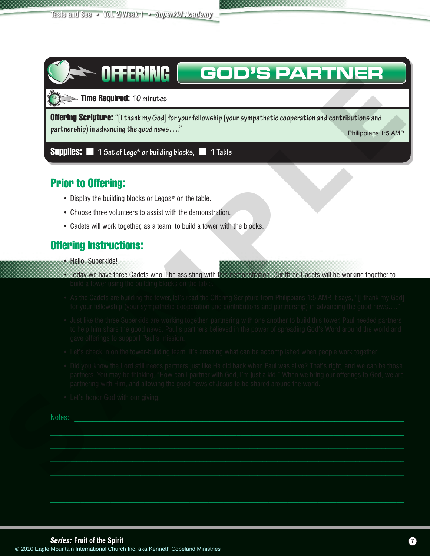## **GOD'S PARTNER** OFFERING

Time Required: **10 minutes <sup>60</sup> <sup>5</sup>**

Offering Scripture: **"[I thank my God] for your fellowship (your sympathetic cooperation and contributions and partnership) in advancing the good news…."** *Philippians 1:5 AMP* Philippians 1:5 AMP

**Supplies:**  $\blacksquare$  1 Set of Lego® or building blocks,  $\blacksquare$  1 Table

## Prior to Offering:

- Display the building blocks or Legos<sup>®</sup> on the table.
- Choose three volunteers to assist with the demonstration.
- Cadets will work together, as a team, to build a tower with the blocks.

## Offering Instructions:

- Hello, Superkids!
- Today we have three Cadets who'll be assisting with this demonstration. Our three Cadets will be working together to build a tower using the building blocks on the table.
- As the Cadets are building the tower, let's read the Offering Scripture from Philippians 1:5 AMP. It says, "[I thank my God] for your fellowship (your sympathetic cooperation and contributions and partnership) in advancing the good news...."
- Just like the three Superkids are working together, partnering with one another to build this tower, Paul needed partners to help him share the good news. Paul's partners believed in the power of spreading God's Word around the world and gave offerings to support Paul's mission.
- Let's check in on the tower-building team. It's amazing what can be accomplished when people work together!
- Did you know the Lord still needs partners just like He did back when Paul was alive? That's right, and we can be those partners. You may be thinking, "How can I partner with God, I'm just a kid." When we bring our offerings to God, we are partnering with Him, and allowing the good news of Jesus to be shared around the world. Control of the state and the state of the state and the state of the state and the state and the state and the state and the state and the state and the state and the state and the state and the state and the state and th

 $\mathcal{L}=\mathcal{L}=\mathcal{L}=\mathcal{L}=\mathcal{L}=\mathcal{L}=\mathcal{L}=\mathcal{L}=\mathcal{L}=\mathcal{L}=\mathcal{L}=\mathcal{L}=\mathcal{L}=\mathcal{L}=\mathcal{L}=\mathcal{L}=\mathcal{L}=\mathcal{L}=\mathcal{L}=\mathcal{L}=\mathcal{L}=\mathcal{L}=\mathcal{L}=\mathcal{L}=\mathcal{L}=\mathcal{L}=\mathcal{L}=\mathcal{L}=\mathcal{L}=\mathcal{L}=\mathcal{L}=\mathcal{L}=\mathcal{L}=\mathcal{L}=\mathcal{L}=\mathcal{L}=\mathcal{$  $\mathcal{L}=\mathcal{L}=\mathcal{L}=\mathcal{L}=\mathcal{L}=\mathcal{L}=\mathcal{L}=\mathcal{L}=\mathcal{L}=\mathcal{L}=\mathcal{L}=\mathcal{L}=\mathcal{L}=\mathcal{L}=\mathcal{L}=\mathcal{L}=\mathcal{L}=\mathcal{L}=\mathcal{L}=\mathcal{L}=\mathcal{L}=\mathcal{L}=\mathcal{L}=\mathcal{L}=\mathcal{L}=\mathcal{L}=\mathcal{L}=\mathcal{L}=\mathcal{L}=\mathcal{L}=\mathcal{L}=\mathcal{L}=\mathcal{L}=\mathcal{L}=\mathcal{L}=\mathcal{L}=\mathcal{$  $\mathcal{L}_\mathcal{L} = \mathcal{L}_\mathcal{L} = \mathcal{L}_\mathcal{L} = \mathcal{L}_\mathcal{L} = \mathcal{L}_\mathcal{L} = \mathcal{L}_\mathcal{L} = \mathcal{L}_\mathcal{L} = \mathcal{L}_\mathcal{L} = \mathcal{L}_\mathcal{L} = \mathcal{L}_\mathcal{L} = \mathcal{L}_\mathcal{L} = \mathcal{L}_\mathcal{L} = \mathcal{L}_\mathcal{L} = \mathcal{L}_\mathcal{L} = \mathcal{L}_\mathcal{L} = \mathcal{L}_\mathcal{L} = \mathcal{L}_\mathcal{L}$  $\mathcal{L}_\mathcal{L} = \mathcal{L}_\mathcal{L} = \mathcal{L}_\mathcal{L} = \mathcal{L}_\mathcal{L} = \mathcal{L}_\mathcal{L} = \mathcal{L}_\mathcal{L} = \mathcal{L}_\mathcal{L} = \mathcal{L}_\mathcal{L} = \mathcal{L}_\mathcal{L} = \mathcal{L}_\mathcal{L} = \mathcal{L}_\mathcal{L} = \mathcal{L}_\mathcal{L} = \mathcal{L}_\mathcal{L} = \mathcal{L}_\mathcal{L} = \mathcal{L}_\mathcal{L} = \mathcal{L}_\mathcal{L} = \mathcal{L}_\mathcal{L}$ \_\_\_\_\_\_\_\_\_\_\_\_\_\_\_\_\_\_\_\_\_\_\_\_\_\_\_\_\_\_\_\_\_\_\_\_\_\_\_\_\_\_\_\_\_\_\_\_\_\_\_\_\_\_\_\_\_\_\_\_\_\_\_\_\_\_\_\_\_\_\_\_\_\_\_\_\_\_\_\_\_\_\_\_\_\_\_\_\_\_\_\_\_\_ \_\_\_\_\_\_\_\_\_\_\_\_\_\_\_\_\_\_\_\_\_\_\_\_\_\_\_\_\_\_\_\_\_\_\_\_\_\_\_\_\_\_\_\_\_\_\_\_\_\_\_\_\_\_\_\_\_\_\_\_\_\_\_\_\_\_\_\_\_\_\_\_\_\_\_\_\_\_\_\_\_\_\_\_\_\_\_\_\_\_\_\_\_\_  $\mathcal{L}=\mathcal{L}=\mathcal{L}=\mathcal{L}=\mathcal{L}=\mathcal{L}=\mathcal{L}=\mathcal{L}=\mathcal{L}=\mathcal{L}=\mathcal{L}=\mathcal{L}=\mathcal{L}=\mathcal{L}=\mathcal{L}=\mathcal{L}=\mathcal{L}=\mathcal{L}=\mathcal{L}=\mathcal{L}=\mathcal{L}=\mathcal{L}=\mathcal{L}=\mathcal{L}=\mathcal{L}=\mathcal{L}=\mathcal{L}=\mathcal{L}=\mathcal{L}=\mathcal{L}=\mathcal{L}=\mathcal{L}=\mathcal{L}=\mathcal{L}=\mathcal{L}=\mathcal{L}=\mathcal{$ 

• Let's honor God with our giving.

Notes: <u>with the second contract of the second contract of the second contract of the second contract of the second contract of the second contract of the second contract of the second contract of the second contract of th</u>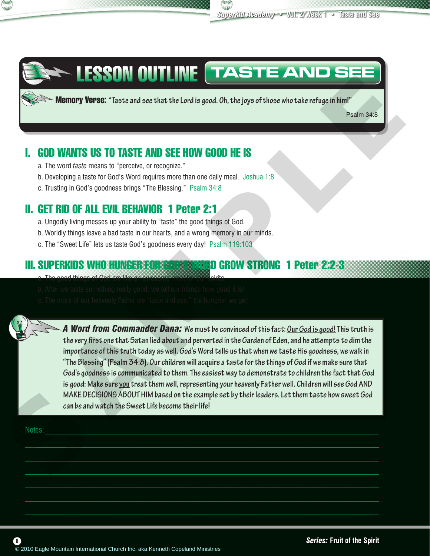



# LESSON OUTLINE **TASTE AND SEE**

Memory Verse: **"Taste and see that the Lord is good. Oh, the joys of those who take refuge in him!"**

Psalm 34:8

## I. GOD WANTS US TO TASTE AND SEE HOW GOOD HE IS

- a. The word *taste* means to "perceive, or recognize."
- b. Developing a taste for God's Word requires more than one daily meal. Joshua 1:8
- c. Trusting in God's goodness brings "The Blessing." Psalm 34:8

## II. GET RID OF ALL EVIL BEHAVIOR 1 Peter 2:1

- a. Ungodly living messes up your ability to "taste" the good things of God.
- b. Worldly things leave a bad taste in our hearts, and a wrong memory in our minds.
- c. The "Sweet Life" lets us taste God's goodness every day! Psalm 119:103

## III. SUPERKIDS WHO HUNGER FOR GOD'S WORD GROW STRONG 1 Peter 2:2-3

- a. The good things of God are like an awesome meal for our spirits.
- b. After we taste something really good, we tell our friends how good it is!
- c. The more of our heavenly Father we "taste and see," the hungrier we get!



 $\mathcal{L} = \{ \mathcal{L} = \{ \mathcal{L} \} \cup \{ \mathcal{L} = \{ \mathcal{L} \} \cup \{ \mathcal{L} = \{ \mathcal{L} \} \cup \{ \mathcal{L} = \{ \mathcal{L} \} \cup \{ \mathcal{L} = \{ \mathcal{L} \} \cup \{ \mathcal{L} = \{ \mathcal{L} \} \cup \{ \mathcal{L} = \{ \mathcal{L} \} \cup \{ \mathcal{L} = \{ \mathcal{L} \} \cup \{ \mathcal{L} = \{ \mathcal{L} \} \cup \{ \mathcal{L} = \{ \mathcal{L} \} \cup \{ \$  $\Box$  $\mathcal{L}=\{x_1,\ldots,x_n\}$  , we can assume that the contract of  $\mathcal{L}=\{x_1,\ldots,x_n\}$  $\mathcal{L}_\mathcal{L} = \mathcal{L}_\mathcal{L} = \mathcal{L}_\mathcal{L} = \mathcal{L}_\mathcal{L} = \mathcal{L}_\mathcal{L} = \mathcal{L}_\mathcal{L} = \mathcal{L}_\mathcal{L} = \mathcal{L}_\mathcal{L} = \mathcal{L}_\mathcal{L} = \mathcal{L}_\mathcal{L} = \mathcal{L}_\mathcal{L} = \mathcal{L}_\mathcal{L} = \mathcal{L}_\mathcal{L} = \mathcal{L}_\mathcal{L} = \mathcal{L}_\mathcal{L} = \mathcal{L}_\mathcal{L} = \mathcal{L}_\mathcal{L}$  $\mathcal{L}_\mathcal{L} = \mathcal{L}_\mathcal{L} = \mathcal{L}_\mathcal{L} = \mathcal{L}_\mathcal{L} = \mathcal{L}_\mathcal{L} = \mathcal{L}_\mathcal{L} = \mathcal{L}_\mathcal{L} = \mathcal{L}_\mathcal{L} = \mathcal{L}_\mathcal{L} = \mathcal{L}_\mathcal{L} = \mathcal{L}_\mathcal{L} = \mathcal{L}_\mathcal{L} = \mathcal{L}_\mathcal{L} = \mathcal{L}_\mathcal{L} = \mathcal{L}_\mathcal{L} = \mathcal{L}_\mathcal{L} = \mathcal{L}_\mathcal{L}$  $\mathcal{L}_\mathcal{L} = \mathcal{L}_\mathcal{L} = \mathcal{L}_\mathcal{L} = \mathcal{L}_\mathcal{L} = \mathcal{L}_\mathcal{L} = \mathcal{L}_\mathcal{L} = \mathcal{L}_\mathcal{L} = \mathcal{L}_\mathcal{L} = \mathcal{L}_\mathcal{L} = \mathcal{L}_\mathcal{L} = \mathcal{L}_\mathcal{L} = \mathcal{L}_\mathcal{L} = \mathcal{L}_\mathcal{L} = \mathcal{L}_\mathcal{L} = \mathcal{L}_\mathcal{L} = \mathcal{L}_\mathcal{L} = \mathcal{L}_\mathcal{L}$ 

Notes: where the contract of the contract of the contract of the contract of the contract of the contract of the contract of the contract of the contract of the contract of the contract of the contract of the contract of t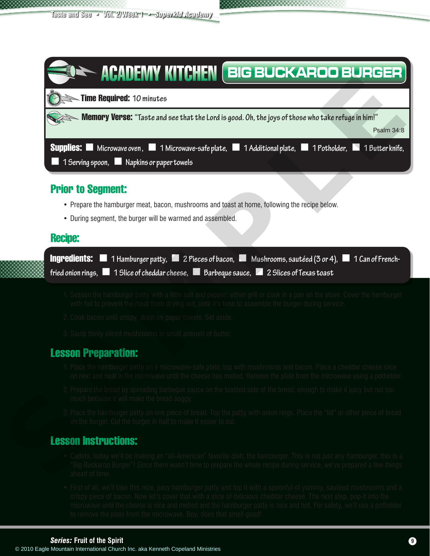| $\sim$ <b>Memory Verse:</b> "Taste and see that the Lord is good. Oh, the joys of those who take refuge in him!"<br>Psalm 34:8                                                                                                                                                                                                                                                                                      |
|---------------------------------------------------------------------------------------------------------------------------------------------------------------------------------------------------------------------------------------------------------------------------------------------------------------------------------------------------------------------------------------------------------------------|
| <b>Supplies:</b> Microwave oven, 1 Microwave-safe plate, 1 Additional plate, 1 Potholder, 1 Butter knife,<br>1 Serving spoon, <b>Napkins or paper towels</b>                                                                                                                                                                                                                                                        |
| <b>Prior to Segment:</b>                                                                                                                                                                                                                                                                                                                                                                                            |
| • Prepare the hamburger meat, bacon, mushrooms and toast at home, following the recipe below.<br>• During segment, the burger will be warmed and assembled.                                                                                                                                                                                                                                                         |
| <b>Recipe:</b>                                                                                                                                                                                                                                                                                                                                                                                                      |
| <b>Ingredients:</b> 1 Hamburger patty, 1 2 Pieces of bacon, 1 Mushrooms, sautéed (3 or 4),<br>1 Can of French-                                                                                                                                                                                                                                                                                                      |
| fried onion rings, $\blacksquare$ 1 Slice of cheddar cheese, $\blacksquare$ Barbeque sauce, $\blacksquare$ 2 Slices of Texas toast                                                                                                                                                                                                                                                                                  |
| 1. Season the hamburger patty with a little salt and pepper; either grill or cook in a pan on the stove. Cover the hamburger                                                                                                                                                                                                                                                                                        |
| with foil to prevent the meat from drying out, until it's time to assemble the burger during service.                                                                                                                                                                                                                                                                                                               |
| 2. Cook bacon until crispy; drain on paper towels. Set aside.                                                                                                                                                                                                                                                                                                                                                       |
| 3. Sauté thinly sliced mushrooms in small amount of butter.                                                                                                                                                                                                                                                                                                                                                         |
| <b>Lesson Preparation:</b>                                                                                                                                                                                                                                                                                                                                                                                          |
|                                                                                                                                                                                                                                                                                                                                                                                                                     |
| 1. Place the hamburger patty on a microwave-safe plate; top with mushrooms and bacon. Place a cheddar cheese slice<br>on next and heat in the microwave until the cheese has melted. Remove the plate from the microwave using a potholder.<br>2. Prepare the bread by spreading barbeque sauce on the toasted side of the bread; enough to make it juicy but not too<br>much because it will make the bread soggy. |
| 3. Place the hamburger patty on one piece of bread. Top the patty with onion rings. Place the "lid" or other piece of bread<br>on the burger. Cut the burger in half to make it easier to eat.                                                                                                                                                                                                                      |
| <b>Lesson Instructions:</b>                                                                                                                                                                                                                                                                                                                                                                                         |
| • Cadets, today we'll be making an "all-American" favorite dish, the hamburger. This is not just any hamburger, this is a<br>'Big Buckaroo Burger"! Since there wasn't time to prepare the whole recipe during service, we've prepared a few things<br>ahead of time.                                                                                                                                               |

## Prior to Segment:

- Prepare the hamburger meat, bacon, mushrooms and toast at home, following the recipe below.
- During segment, the burger will be warmed and assembled.

| <b>Recipe:</b>                                                                                                                     |  |                                                                                                             |
|------------------------------------------------------------------------------------------------------------------------------------|--|-------------------------------------------------------------------------------------------------------------|
|                                                                                                                                    |  | <b>Ingredients:</b> 1 Hamburger patty, 1 2 Pieces of bacon, 1 Mushrooms, sautéed (3 or 4), 1 Can of French- |
| fried onion rings, $\blacksquare$ 1 Slice of cheddar cheese, $\blacksquare$ Barbeque sauce, $\blacksquare$ 2 Slices of Texas toast |  |                                                                                                             |

- 1. Season the hamburger patty with a little salt and pepper; either grill or cook in a pan on the stove. Cover the hamburger with foil to prevent the meat from drying out, until it's time to assemble the burger during service.
- 2. Cook bacon until crispy; drain on paper towels. Set aside.
- 3. Sauté thinly sliced mushrooms in small amount of butter.

## Lesson Preparation:

- 1. Place the hamburger patty on a microwave-safe plate; top with mushrooms and bacon. Place a cheddar cheese slice on next and heat in the microwave until the cheese has melted. Remove the plate from the microwave using a potholder.
- 2. Prepare the bread by spreading barbeque sauce on the toasted side of the bread; enough to make it juicy but not too much because it will make the bread soggy.
- 3. Place the hamburger patty on one piece of bread. Top the patty with onion rings. Place the "lid" or other piece of bread on the burger. Cut the burger in half to make it easier to eat.

## Lesson Instructions:

- Cadets, today we'll be making an "all-American" favorite dish, the hamburger. This is not just any hamburger, this is a "Big Buckaroo Burger"! Since there wasn't time to prepare the whole recipe during service, we've prepared a few things ahead of time.
- First of all, we'll take this nice, juicy hamburger patty and top it with a spoonful of yummy, sautéed mushrooms and a crispy piece of bacon. Now let's cover that with a slice of delicious cheddar cheese. The next step, pop it into the microwave until the cheese is nice and melted and the hamburger patty is nice and hot. For safety, we'll use a potholder to remove the plate from the microwave. Boy, does that smell good!

### *Series:* **Fruit of the Spirit 9**